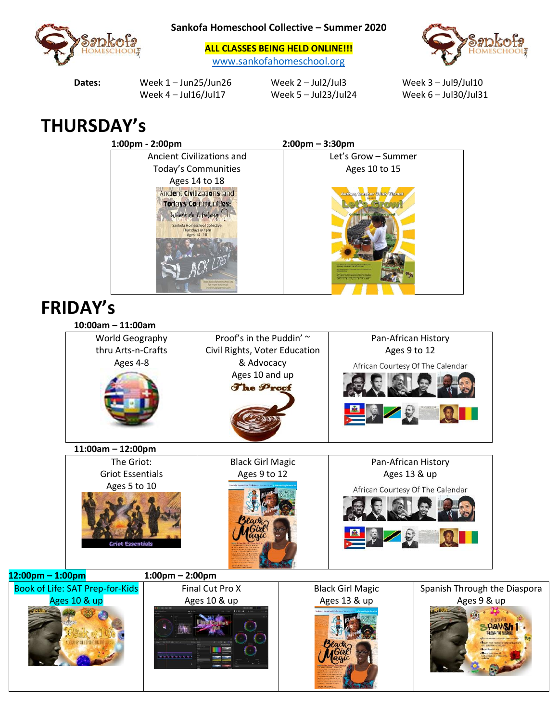

**Sankofa Homeschool Collective – Summer 2020**

**ALL CLASSES BEING HELD ONLINE!!!** [www.sankofahomeschool.org](http://www.sankofahomeschool.org/)



Dates: Week 1 – Jun25/Jun26 Week 2 – Jul2/Jul3 Week 3 – Jul9/Jul10

Week 4 – Jul16/Jul17 Week 5 – Jul23/Jul24 Week 6 – Jul30/Jul31

## **THURSDAY's**



## **FRIDAY's**

**12:00pm – 1:00pm 1:00pm – 2:00pm** Book of Lit

| $10:00am - 11:00am$     |                    |                               |  |                                  |                              |
|-------------------------|--------------------|-------------------------------|--|----------------------------------|------------------------------|
| World Geography         |                    | Proof's in the Puddin' ~      |  | Pan-African History              |                              |
| thru Arts-n-Crafts      |                    | Civil Rights, Voter Education |  | Ages 9 to 12                     |                              |
| Ages 4-8                |                    | & Advocacy                    |  | African Courtesy Of The Calendar |                              |
|                         |                    | Ages 10 and up<br>The Proof   |  |                                  |                              |
|                         |                    |                               |  |                                  |                              |
| $11:00am - 12:00pm$     |                    |                               |  |                                  |                              |
| The Griot:              |                    | <b>Black Girl Magic</b>       |  | Pan-African History              |                              |
| <b>Griot Essentials</b> |                    | Ages 9 to 12                  |  | Ages 13 & up                     |                              |
| Ages 5 to 10            |                    |                               |  | African Courtesy Of The Calendar |                              |
| <b>Griot Essentials</b> |                    |                               |  |                                  |                              |
| - 1:00pm                | $1:00$ pm - 2:00pm |                               |  |                                  |                              |
| ife: SAT Prep-for-Kids  |                    | Final Cut Pro X               |  | <b>Black Girl Magic</b>          | Spanish Through the Diaspora |
| Ages 10 & up            |                    | Ages 10 & up                  |  | Ages 13 & up                     | Ages 9 & up                  |